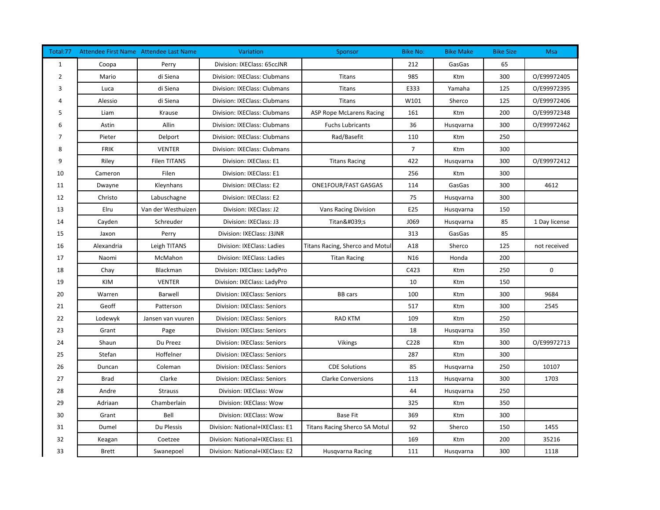| Total:77     |              | Attendee First Name Attendee Last Name | Variation                       | Sponsor                              | <b>Bike No:</b> | <b>Bike Make</b> | <b>Bike Size</b> | Msa           |
|--------------|--------------|----------------------------------------|---------------------------------|--------------------------------------|-----------------|------------------|------------------|---------------|
| $\mathbf{1}$ | Coopa        | Perry                                  | Division: IXEClass: 65ccJNR     |                                      | 212             | GasGas           | 65               |               |
| 2            | Mario        | di Siena                               | Division: IXEClass: Clubmans    | Titans                               | 985             | Ktm              | 300              | O/E99972405   |
| 3            | Luca         | di Siena                               | Division: IXEClass: Clubmans    | <b>Titans</b>                        | E333            | Yamaha           | 125              | O/E99972395   |
|              | Alessio      | di Siena                               | Division: IXEClass: Clubmans    | <b>Titans</b>                        | W101            | Sherco           | 125              | O/E99972406   |
| 5            | Liam         | Krause                                 | Division: IXEClass: Clubmans    | ASP Rope McLarens Racing             | 161             | Ktm              | 200              | O/E99972348   |
|              | Astin        | Allin                                  | Division: IXEClass: Clubmans    | <b>Fuchs Lubricants</b>              | 36              | Husqvarna        | 300              | O/E99972462   |
| 7            | Pieter       | Delport                                | Division: IXEClass: Clubmans    | Rad/Basefit                          | 110             | Ktm              | 250              |               |
| 8            | <b>FRIK</b>  | <b>VENTER</b>                          | Division: IXEClass: Clubmans    |                                      | $\overline{7}$  | Ktm              | 300              |               |
| 9            | Riley        | <b>Filen TITANS</b>                    | Division: IXEClass: E1          | <b>Titans Racing</b>                 | 422             | Husqvarna        | 300              | O/E99972412   |
| 10           | Cameron      | Filen                                  | Division: IXEClass: E1          |                                      | 256             | Ktm              | 300              |               |
| 11           | Dwayne       | Kleynhans                              | Division: IXEClass: E2          | ONE1FOUR/FAST GASGAS                 | 114             | GasGas           | 300              | 4612          |
| 12           | Christo      | Labuschagne                            | Division: IXEClass: E2          |                                      | 75              | Husqvarna        | 300              |               |
| 13           | Elru         | Van der Westhuizen                     | Division: IXEClass: J2          | <b>Vans Racing Division</b>          | E25             | Husqvarna        | 150              |               |
| 14           | Cayden       | Schreuder                              | Division: IXEClass: J3          | Titan's                              | J069            | Husqvarna        | 85               | 1 Day license |
| 15           | Jaxon        | Perry                                  | Division: IXEClass: J3JNR       |                                      | 313             | GasGas           | 85               |               |
| 16           | Alexandria   | Leigh TITANS                           | Division: IXEClass: Ladies      | Titans Racing, Sherco and Motul      | A18             | Sherco           | 125              | not received  |
| 17           | Naomi        | McMahon                                | Division: IXEClass: Ladies      | <b>Titan Racing</b>                  | N <sub>16</sub> | Honda            | 200              |               |
| 18           | Chay         | Blackman                               | Division: IXEClass: LadyPro     |                                      | C423            | Ktm              | 250              | $\mathbf 0$   |
| 19           | <b>KIM</b>   | <b>VENTER</b>                          | Division: IXEClass: LadyPro     |                                      | 10              | Ktm              | 150              |               |
| 20           | Warren       | Barwell                                | Division: IXEClass: Seniors     | <b>BB</b> cars                       | 100             | Ktm              | 300              | 9684          |
| 21           | Geoff        | Patterson                              | Division: IXEClass: Seniors     |                                      | 517             | Ktm              | 300              | 2545          |
| 22           | Lodewyk      | Jansen van vuuren                      | Division: IXEClass: Seniors     | <b>RAD KTM</b>                       | 109             | Ktm              | 250              |               |
| 23           | Grant        | Page                                   | Division: IXEClass: Seniors     |                                      | 18              | Husqvarna        | 350              |               |
| 24           | Shaun        | Du Preez                               | Division: IXEClass: Seniors     | <b>Vikings</b>                       | C228            | Ktm              | 300              | O/E99972713   |
| 25           | Stefan       | Hoffelner                              | Division: IXEClass: Seniors     |                                      | 287             | Ktm              | 300              |               |
| 26           | Duncan       | Coleman                                | Division: IXEClass: Seniors     | <b>CDE Solutions</b>                 | 85              | Husqvarna        | 250              | 10107         |
| 27           | <b>Brad</b>  | Clarke                                 | Division: IXEClass: Seniors     | <b>Clarke Conversions</b>            | 113             | Husqvarna        | 300              | 1703          |
| 28           | Andre        | <b>Strauss</b>                         | Division: IXEClass: Wow         |                                      | 44              | Husqvarna        | 250              |               |
| 29           | Adriaan      | Chamberlain                            | Division: IXEClass: Wow         |                                      | 325             | Ktm              | 350              |               |
| 30           | Grant        | Bell                                   | Division: IXEClass: Wow         | <b>Base Fit</b>                      | 369             | Ktm              | 300              |               |
| 31           | Dumel        | Du Plessis                             | Division: National+IXEClass: E1 | <b>Titans Racing Sherco SA Motul</b> | 92              | Sherco           | 150              | 1455          |
| 32           | Keagan       | Coetzee                                | Division: National+IXEClass: E1 |                                      | 169             | Ktm              | 200              | 35216         |
| 33           | <b>Brett</b> | Swanepoel                              | Division: National+IXEClass: E2 | Husqvarna Racing                     | 111             | Husqvarna        | 300              | 1118          |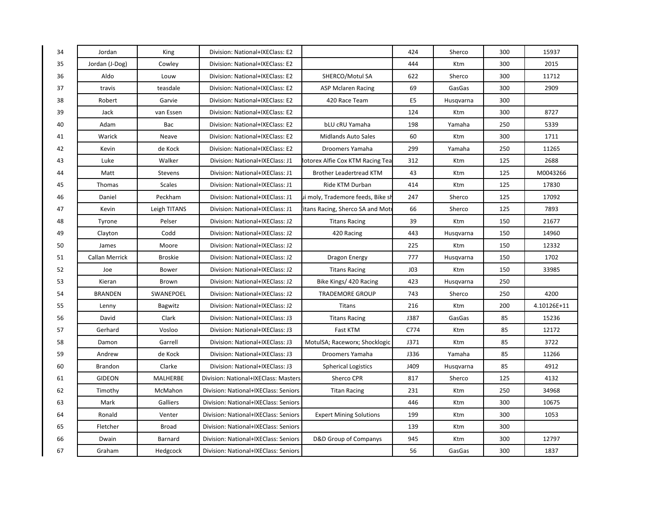| 34 | Jordan         | King            | Division: National+IXEClass: E2      |                                   | 424             | Sherco    | 300 | 15937       |
|----|----------------|-----------------|--------------------------------------|-----------------------------------|-----------------|-----------|-----|-------------|
| 35 | Jordan (J-Dog) | Cowley          | Division: National+IXEClass: E2      |                                   | 444             | Ktm       | 300 | 2015        |
| 36 | Aldo           | Louw            | Division: National+IXEClass: E2      | SHERCO/Motul SA                   | 622             | Sherco    | 300 | 11712       |
| 37 | travis         | teasdale        | Division: National+IXEClass: E2      | <b>ASP Mclaren Racing</b>         | 69              | GasGas    | 300 | 2909        |
| 38 | Robert         | Garvie          | Division: National+IXEClass: E2      | 420 Race Team                     | E <sub>5</sub>  | Husqvarna | 300 |             |
| 39 | Jack           | van Essen       | Division: National+IXEClass: E2      |                                   | 124             | Ktm       | 300 | 8727        |
| 40 | Adam           | Bac             | Division: National+IXEClass: E2      | bLU cRU Yamaha                    | 198             | Yamaha    | 250 | 5339        |
| 41 | Warick         | Neave           | Division: National+IXEClass: E2      | <b>Midlands Auto Sales</b>        | 60              | Ktm       | 300 | 1711        |
| 42 | Kevin          | de Kock         | Division: National+IXEClass: E2      | Droomers Yamaha                   | 299             | Yamaha    | 250 | 11265       |
| 43 | Luke           | Walker          | Division: National+IXEClass: J1      | Iotorex Alfie Cox KTM Racing Tea  | 312             | Ktm       | 125 | 2688        |
| 44 | Matt           | Stevens         | Division: National+IXEClass: J1      | <b>Brother Leadertread KTM</b>    | 43              | Ktm       | 125 | M0043266    |
| 45 | Thomas         | <b>Scales</b>   | Division: National+IXEClass: J1      | Ride KTM Durban                   | 414             | Ktm       | 125 | 17830       |
| 46 | Daniel         | Peckham         | Division: National+IXEClass: J1      | ui moly, Trademore feeds, Bike sl | 247             | Sherco    | 125 | 17092       |
| 47 | Kevin          | Leigh TITANS    | Division: National+IXEClass: J1      | itans Racing, Sherco SA and Mot   | 66              | Sherco    | 125 | 7893        |
| 48 | Tyrone         | Pelser          | Division: National+IXEClass: J2      | <b>Titans Racing</b>              | 39              | Ktm       | 150 | 21677       |
| 49 | Clayton        | Codd            | Division: National+IXEClass: J2      | 420 Racing                        | 443             | Husqvarna | 150 | 14960       |
| 50 | James          | Moore           | Division: National+IXEClass: J2      |                                   | 225             | Ktm       | 150 | 12332       |
| 51 | Callan Merrick | <b>Broskie</b>  | Division: National+IXEClass: J2      | Dragon Energy                     | 777             | Husqvarna | 150 | 1702        |
| 52 | Joe            | Bower           | Division: National+IXEClass: J2      | <b>Titans Racing</b>              | JO <sub>3</sub> | Ktm       | 150 | 33985       |
| 53 | Kieran         | Brown           | Division: National+IXEClass: J2      | Bike Kings/ 420 Racing            | 423             | Husqvarna | 250 |             |
| 54 | <b>BRANDEN</b> | SWANEPOEL       | Division: National+IXEClass: J2      | <b>TRADEMORE GROUP</b>            | 743             | Sherco    | 250 | 4200        |
| 55 | Lenny          | Bagwitz         | Division: National+IXEClass: J2      | <b>Titans</b>                     | 216             | Ktm       | 200 | 4.10126E+11 |
| 56 | David          | Clark           | Division: National+IXEClass: J3      | <b>Titans Racing</b>              | J387            | GasGas    | 85  | 15236       |
| 57 | Gerhard        | Vosloo          | Division: National+IXEClass: J3      | Fast KTM                          | C774            | Ktm       | 85  | 12172       |
| 58 | Damon          | Garrell         | Division: National+IXEClass: J3      | MotulSA; Raceworx; Shocklogic     | J371            | Ktm       | 85  | 3722        |
| 59 | Andrew         | de Kock         | Division: National+IXEClass: J3      | Droomers Yamaha                   | J336            | Yamaha    | 85  | 11266       |
| 60 | Brandon        | Clarke          | Division: National+IXEClass: J3      | <b>Spherical Logistics</b>        | J409            | Husqvarna | 85  | 4912        |
| 61 | <b>GIDEON</b>  | <b>MALHERBE</b> | Division: National+IXEClass: Masters | Sherco CPR                        | 817             | Sherco    | 125 | 4132        |
| 62 | Timothy        | McMahon         | Division: National+IXEClass: Seniors | <b>Titan Racing</b>               | 231             | Ktm       | 250 | 34968       |
| 63 | Mark           | Galliers        | Division: National+IXEClass: Seniors |                                   | 446             | Ktm       | 300 | 10675       |
| 64 | Ronald         | Venter          | Division: National+IXEClass: Seniors | <b>Expert Mining Solutions</b>    | 199             | Ktm       | 300 | 1053        |
| 65 | Fletcher       | <b>Broad</b>    | Division: National+IXEClass: Seniors |                                   | 139             | Ktm       | 300 |             |
| 66 | Dwain          | Barnard         | Division: National+IXEClass: Seniors | <b>D&amp;D Group of Companys</b>  | 945             | Ktm       | 300 | 12797       |
| 67 | Graham         | Hedgcock        | Division: National+IXEClass: Seniors |                                   | 56              | GasGas    | 300 | 1837        |